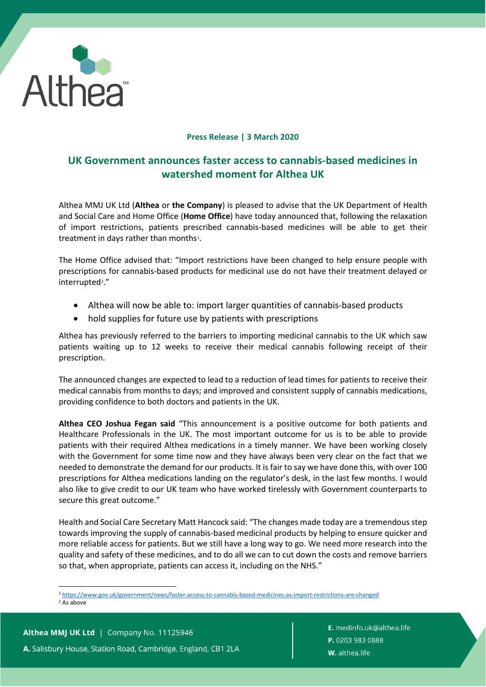

## **Press Release | 3 March 2020**

# **UK Government announces faster access to cannabis-based medicines in watershed moment for Althea UK**

Althea MMJ UK Ltd (**Althea** or **the Company**) is pleased to advise that the UK Department of Health and Social Care and Home Office (**Home Office**) have today announced that, following the relaxation of import restrictions, patients prescribed cannabis-based medicines will be able to get their treatment in days rather than months<sup>[1](#page-0-0)</sup>.

The Home Office advised that: "Import restrictions have been changed to help ensure people with prescriptions for cannabis-based products for medicinal use do not have their treatment delayed or interrupted<sup>2</sup>."

- Althea will now be able to: import larger quantities of cannabis-based products
- hold supplies for future use by patients with prescriptions

Althea has previously referred to the barriers to importing medicinal cannabis to the UK which saw patients waiting up to 12 weeks to receive their medical cannabis following receipt of their prescription.

The announced changes are expected to lead to a reduction of lead times for patients to receive their medical cannabis from months to days; and improved and consistent supply of cannabis medications, providing confidence to both doctors and patients in the UK.

**Althea CEO Joshua Fegan said** "This announcement is a positive outcome for both patients and Healthcare Professionals in the UK. The most important outcome for us is to be able to provide patients with their required Althea medications in a timely manner. We have been working closely with the Government for some time now and they have always been very clear on the fact that we needed to demonstrate the demand for our products. It is fair to say we have done this, with over 100 prescriptions for Althea medications landing on the regulator's desk, in the last few months. I would also like to give credit to our UK team who have worked tirelessly with Government counterparts to secure this great outcome."

Health and Social Care Secretary Matt Hancock said: "The changes made today are a tremendous step towards improving the supply of cannabis-based medicinal products by helping to ensure quicker and more reliable access for patients. But we still have a long way to go. We need more research into the quality and safety of these medicines, and to do all we can to cut down the costs and remove barriers so that, when appropriate, patients can access it, including on the NHS."

<span id="page-0-1"></span><span id="page-0-0"></span><sup>1</sup> <https://www.gov.uk/government/news/faster-access-to-cannabis-based-medicines-as-import-restrictions-are-changed>2 As above